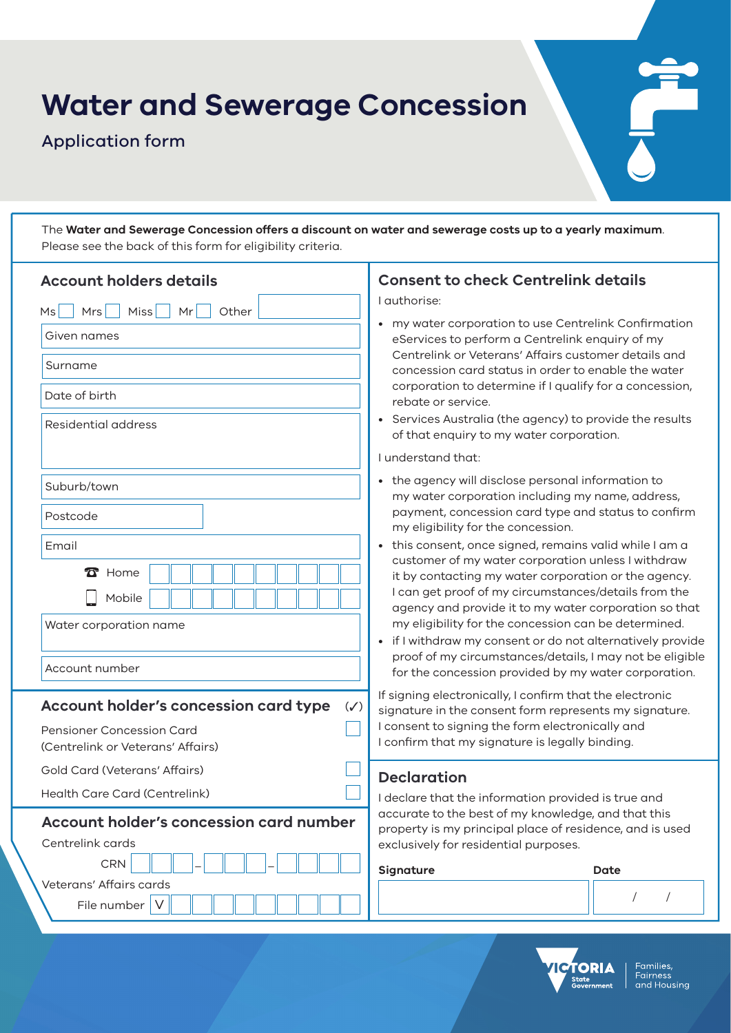# **Water and Sewerage Concession**

Application form

The **Water and Sewerage Concession offers a discount on water and sewerage costs up to a yearly maximum**. Please see the back of this form for eligibility criteria.

| <b>Account holders details</b>                                                                                                                                                                                                                       | <b>Consent to check Centrelink details</b>                                                                                                                                                                                                                                                                                                                                                                                                                                                                                                                                                                                                                                                                                                                                                                                                                                                                                                                                                 |
|------------------------------------------------------------------------------------------------------------------------------------------------------------------------------------------------------------------------------------------------------|--------------------------------------------------------------------------------------------------------------------------------------------------------------------------------------------------------------------------------------------------------------------------------------------------------------------------------------------------------------------------------------------------------------------------------------------------------------------------------------------------------------------------------------------------------------------------------------------------------------------------------------------------------------------------------------------------------------------------------------------------------------------------------------------------------------------------------------------------------------------------------------------------------------------------------------------------------------------------------------------|
| Mrs<br>Miss<br>Other<br>Ms<br>Mr<br>Given names<br>Surname<br>Date of birth<br>Residential address                                                                                                                                                   | I authorise:<br>• my water corporation to use Centrelink Confirmation<br>eServices to perform a Centrelink enquiry of my<br>Centrelink or Veterans' Affairs customer details and<br>concession card status in order to enable the water<br>corporation to determine if I qualify for a concession,<br>rebate or service.<br>• Services Australia (the agency) to provide the results<br>of that enquiry to my water corporation.                                                                                                                                                                                                                                                                                                                                                                                                                                                                                                                                                           |
| Suburb/town<br>Postcode<br>Email<br>$\mathbf{\Omega}$ Home<br>Mobile<br>Water corporation name<br>Account number<br>Account holder's concession card type<br>$(\checkmark)$<br><b>Pensioner Concession Card</b><br>(Centrelink or Veterans' Affairs) | I understand that:<br>• the agency will disclose personal information to<br>my water corporation including my name, address,<br>payment, concession card type and status to confirm<br>my eligibility for the concession.<br>• this consent, once signed, remains valid while I am a<br>customer of my water corporation unless I withdraw<br>it by contacting my water corporation or the agency.<br>I can get proof of my circumstances/details from the<br>agency and provide it to my water corporation so that<br>my eligibility for the concession can be determined.<br>• if I withdraw my consent or do not alternatively provide<br>proof of my circumstances/details, I may not be eligible<br>for the concession provided by my water corporation.<br>If signing electronically, I confirm that the electronic<br>signature in the consent form represents my signature.<br>I consent to signing the form electronically and<br>I confirm that my signature is legally binding. |
| Gold Card (Veterans' Affairs)<br>Health Care Card (Centrelink)                                                                                                                                                                                       | <b>Declaration</b><br>I declare that the information provided is true and                                                                                                                                                                                                                                                                                                                                                                                                                                                                                                                                                                                                                                                                                                                                                                                                                                                                                                                  |
| <b>Account holder's concession card number</b><br>Centrelink cards<br><b>CRN</b><br>Veterans' Affairs cards<br>File number   V                                                                                                                       | accurate to the best of my knowledge, and that this<br>property is my principal place of residence, and is used<br>exclusively for residential purposes.<br>Signature<br>Date<br>$\sqrt{2}$                                                                                                                                                                                                                                                                                                                                                                                                                                                                                                                                                                                                                                                                                                                                                                                                |